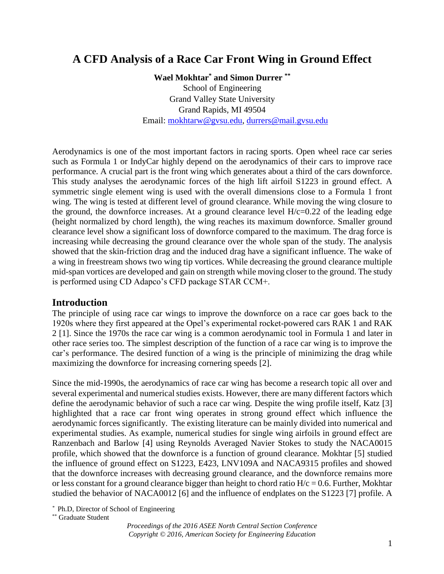# **A CFD Analysis of a Race Car Front Wing in Ground Effect**

**Wael Mokhtar\* and Simon Durrer \*\*** School of Engineering Grand Valley State University Grand Rapids, MI 49504 Email: [mokhtarw@gvsu.edu,](mailto:mokhtarw@gvsu.edu) [durrers@mail.gvsu.edu](mailto:durrers@mail.gvsu.edu)

Aerodynamics is one of the most important factors in racing sports. Open wheel race car series such as Formula 1 or IndyCar highly depend on the aerodynamics of their cars to improve race performance. A crucial part is the front wing which generates about a third of the cars downforce. This study analyses the aerodynamic forces of the high lift airfoil S1223 in ground effect. A symmetric single element wing is used with the overall dimensions close to a Formula 1 front wing. The wing is tested at different level of ground clearance. While moving the wing closure to the ground, the downforce increases. At a ground clearance level  $H/c=0.22$  of the leading edge (height normalized by chord length), the wing reaches its maximum downforce. Smaller ground clearance level show a significant loss of downforce compared to the maximum. The drag force is increasing while decreasing the ground clearance over the whole span of the study. The analysis showed that the skin-friction drag and the induced drag have a significant influence. The wake of a wing in freestream shows two wing tip vortices. While decreasing the ground clearance multiple mid-span vortices are developed and gain on strength while moving closer to the ground. The study is performed using CD Adapco's CFD package STAR CCM+.

#### **Introduction**

The principle of using race car wings to improve the downforce on a race car goes back to the 1920s where they first appeared at the Opel's experimental rocket-powered cars RAK 1 and RAK 2 [1]. Since the 1970s the race car wing is a common aerodynamic tool in Formula 1 and later in other race series too. The simplest description of the function of a race car wing is to improve the car's performance. The desired function of a wing is the principle of minimizing the drag while maximizing the downforce for increasing cornering speeds [2].

Since the mid-1990s, the aerodynamics of race car wing has become a research topic all over and several experimental and numerical studies exists. However, there are many different factors which define the aerodynamic behavior of such a race car wing. Despite the wing profile itself, Katz [3] highlighted that a race car front wing operates in strong ground effect which influence the aerodynamic forces significantly. The existing literature can be mainly divided into numerical and experimental studies. As example, numerical studies for single wing airfoils in ground effect are Ranzenbach and Barlow [4] using Reynolds Averaged Navier Stokes to study the NACA0015 profile, which showed that the downforce is a function of ground clearance. Mokhtar [5] studied the influence of ground effect on S1223, E423, LNV109A and NACA9315 profiles and showed that the downforce increases with decreasing ground clearance, and the downforce remains more or less constant for a ground clearance bigger than height to chord ratio  $H/c = 0.6$ . Further, Mokhtar studied the behavior of NACA0012 [6] and the influence of endplates on the S1223 [7] profile. A

\*\* Graduate Student

*<sup>\*</sup>* Ph.D, Director of School of Engineering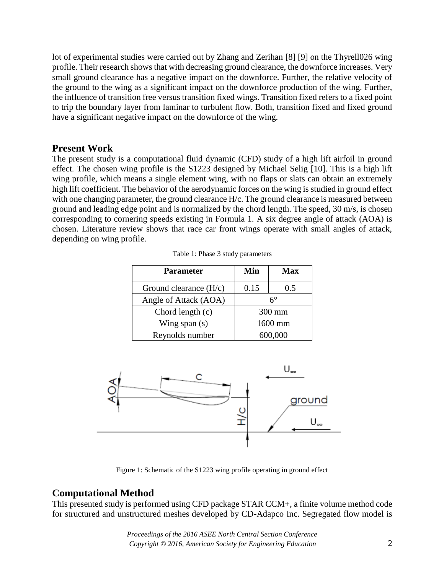lot of experimental studies were carried out by Zhang and Zerihan [8] [9] on the Thyrell026 wing profile. Their research shows that with decreasing ground clearance, the downforce increases. Very small ground clearance has a negative impact on the downforce. Further, the relative velocity of the ground to the wing as a significant impact on the downforce production of the wing. Further, the influence of transition free versus transition fixed wings. Transition fixed refers to a fixed point to trip the boundary layer from laminar to turbulent flow. Both, transition fixed and fixed ground have a significant negative impact on the downforce of the wing.

### **Present Work**

The present study is a computational fluid dynamic (CFD) study of a high lift airfoil in ground effect. The chosen wing profile is the S1223 designed by Michael Selig [10]. This is a high lift wing profile, which means a single element wing, with no flaps or slats can obtain an extremely high lift coefficient. The behavior of the aerodynamic forces on the wing is studied in ground effect with one changing parameter, the ground clearance H/c. The ground clearance is measured between ground and leading edge point and is normalized by the chord length. The speed, 30 m/s, is chosen corresponding to cornering speeds existing in Formula 1. A six degree angle of attack (AOA) is chosen. Literature review shows that race car front wings operate with small angles of attack, depending on wing profile.

| <b>Parameter</b>         | Min     | <b>Max</b> |
|--------------------------|---------|------------|
| Ground clearance $(H/c)$ | 0.15    | 0.5        |
| Angle of Attack (AOA)    | 6°      |            |
| Chord length (c)         | 300 mm  |            |
| Wing span $(s)$          | 1600 mm |            |
| Reynolds number          | 600,000 |            |

Table 1: Phase 3 study parameters



Figure 1: Schematic of the S1223 wing profile operating in ground effect

# **Computational Method**

This presented study is performed using CFD package STAR CCM+, a finite volume method code for structured and unstructured meshes developed by CD-Adapco Inc. Segregated flow model is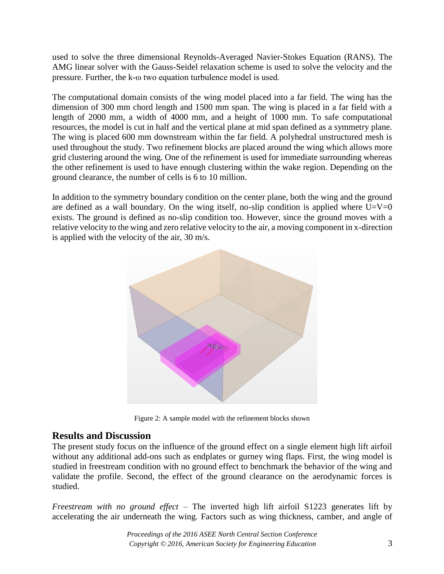used to solve the three dimensional Reynolds-Averaged Navier-Stokes Equation (RANS). The AMG linear solver with the Gauss-Seidel relaxation scheme is used to solve the velocity and the pressure. Further, the k-ω two equation turbulence model is used.

The computational domain consists of the wing model placed into a far field. The wing has the dimension of 300 mm chord length and 1500 mm span. The wing is placed in a far field with a length of 2000 mm, a width of 4000 mm, and a height of 1000 mm. To safe computational resources, the model is cut in half and the vertical plane at mid span defined as a symmetry plane. The wing is placed 600 mm downstream within the far field. A polyhedral unstructured mesh is used throughout the study. Two refinement blocks are placed around the wing which allows more grid clustering around the wing. One of the refinement is used for immediate surrounding whereas the other refinement is used to have enough clustering within the wake region. Depending on the ground clearance, the number of cells is 6 to 10 million.

In addition to the symmetry boundary condition on the center plane, both the wing and the ground are defined as a wall boundary. On the wing itself, no-slip condition is applied where  $U=V=0$ exists. The ground is defined as no-slip condition too. However, since the ground moves with a relative velocity to the wing and zero relative velocity to the air, a moving component in x-direction is applied with the velocity of the air, 30 m/s.



Figure 2: A sample model with the refinement blocks shown

# **Results and Discussion**

The present study focus on the influence of the ground effect on a single element high lift airfoil without any additional add-ons such as endplates or gurney wing flaps. First, the wing model is studied in freestream condition with no ground effect to benchmark the behavior of the wing and validate the profile. Second, the effect of the ground clearance on the aerodynamic forces is studied.

*Freestream with no ground effect* – The inverted high lift airfoil S1223 generates lift by accelerating the air underneath the wing. Factors such as wing thickness, camber, and angle of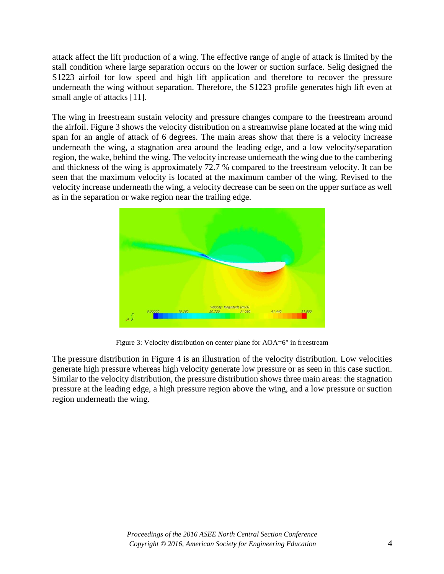attack affect the lift production of a wing. The effective range of angle of attack is limited by the stall condition where large separation occurs on the lower or suction surface. Selig designed the S1223 airfoil for low speed and high lift application and therefore to recover the pressure underneath the wing without separation. Therefore, the S1223 profile generates high lift even at small angle of attacks [11].

The wing in freestream sustain velocity and pressure changes compare to the freestream around the airfoil. [Figure 3](#page-3-0) shows the velocity distribution on a streamwise plane located at the wing mid span for an angle of attack of 6 degrees. The main areas show that there is a velocity increase underneath the wing, a stagnation area around the leading edge, and a low velocity/separation region, the wake, behind the wing. The velocity increase underneath the wing due to the cambering and thickness of the wing is approximately 72.7 % compared to the freestream velocity. It can be seen that the maximum velocity is located at the maximum camber of the wing. Revised to the velocity increase underneath the wing, a velocity decrease can be seen on the upper surface as well as in the separation or wake region near the trailing edge.



Figure 3: Velocity distribution on center plane for AOA=6° in freestream

<span id="page-3-0"></span>The pressure distribution in [Figure 4](#page-4-0) is an illustration of the velocity distribution. Low velocities generate high pressure whereas high velocity generate low pressure or as seen in this case suction. Similar to the velocity distribution, the pressure distribution shows three main areas: the stagnation pressure at the leading edge, a high pressure region above the wing, and a low pressure or suction region underneath the wing.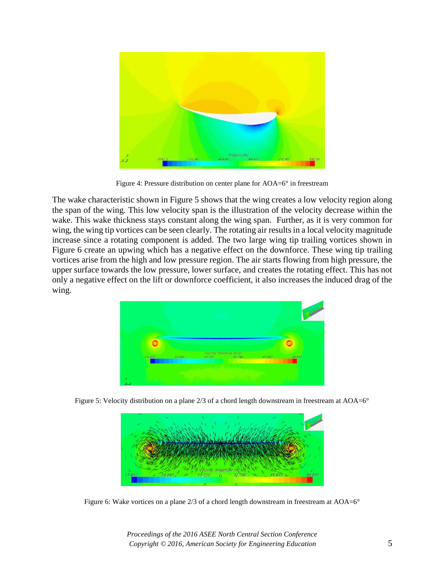

Figure 4: Pressure distribution on center plane for AOA=6° in freestream

<span id="page-4-0"></span>The wake characteristic shown in [Figure 5](#page-4-1) shows that the wing creates a low velocity region along the span of the wing. This low velocity span is the illustration of the velocity decrease within the wake. This wake thickness stays constant along the wing span. Further, as it is very common for wing, the wing tip vortices can be seen clearly. The rotating air results in a local velocity magnitude increase since a rotating component is added. The two large wing tip trailing vortices shown in [Figure 6](#page-4-2) create an upwing which has a negative effect on the downforce. These wing tip trailing vortices arise from the high and low pressure region. The air starts flowing from high pressure, the upper surface towards the low pressure, lower surface, and creates the rotating effect. This has not only a negative effect on the lift or downforce coefficient, it also increases the induced drag of the wing.



Figure 5: Velocity distribution on a plane 2/3 of a chord length downstream in freestream at AOA=6°

<span id="page-4-2"></span><span id="page-4-1"></span>

Figure 6: Wake vortices on a plane 2/3 of a chord length downstream in freestream at AOA=6°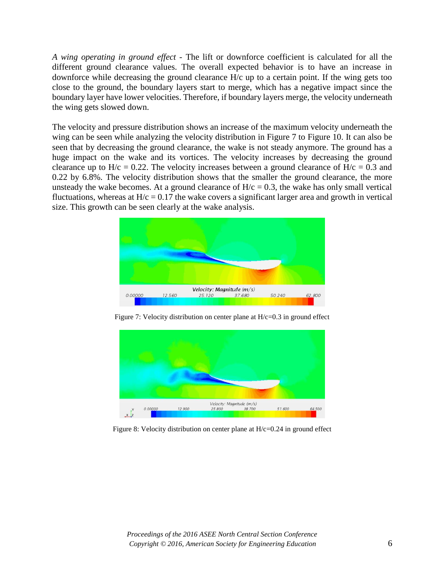*A wing operating in ground effect* - The lift or downforce coefficient is calculated for all the different ground clearance values. The overall expected behavior is to have an increase in downforce while decreasing the ground clearance H/c up to a certain point. If the wing gets too close to the ground, the boundary layers start to merge, which has a negative impact since the boundary layer have lower velocities. Therefore, if boundary layers merge, the velocity underneath the wing gets slowed down.

The velocity and pressure distribution shows an increase of the maximum velocity underneath the wing can be seen while analyzing the velocity distribution in [Figure 7](#page-5-0) to [Figure 10.](#page-6-0) It can also be seen that by decreasing the ground clearance, the wake is not steady anymore. The ground has a huge impact on the wake and its vortices. The velocity increases by decreasing the ground clearance up to  $H/c = 0.22$ . The velocity increases between a ground clearance of  $H/c = 0.3$  and 0.22 by 6.8%. The velocity distribution shows that the smaller the ground clearance, the more unsteady the wake becomes. At a ground clearance of  $H/c = 0.3$ , the wake has only small vertical fluctuations, whereas at  $H/c = 0.17$  the wake covers a significant larger area and growth in vertical size. This growth can be seen clearly at the wake analysis.



Figure 7: Velocity distribution on center plane at H/c=0.3 in ground effect

<span id="page-5-0"></span>

Figure 8: Velocity distribution on center plane at H/c=0.24 in ground effect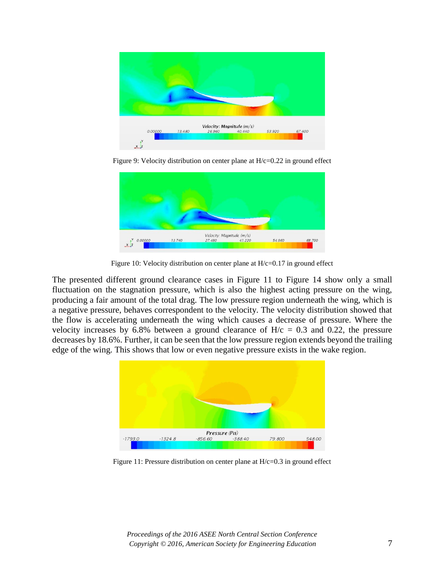

Figure 9: Velocity distribution on center plane at  $H/c=0.22$  in ground effect



Figure 10: Velocity distribution on center plane at H/c=0.17 in ground effect

<span id="page-6-0"></span>The presented different ground clearance cases in [Figure 11](#page-6-1) to [Figure 14](#page-7-0) show only a small fluctuation on the stagnation pressure, which is also the highest acting pressure on the wing, producing a fair amount of the total drag. The low pressure region underneath the wing, which is a negative pressure, behaves correspondent to the velocity. The velocity distribution showed that the flow is accelerating underneath the wing which causes a decrease of pressure. Where the velocity increases by 6.8% between a ground clearance of  $H/c = 0.3$  and 0.22, the pressure decreases by 18.6%. Further, it can be seen that the low pressure region extends beyond the trailing edge of the wing. This shows that low or even negative pressure exists in the wake region.



<span id="page-6-1"></span>Figure 11: Pressure distribution on center plane at H/c=0.3 in ground effect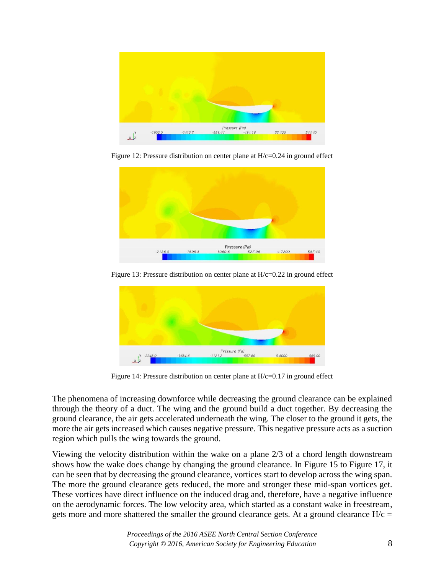

Figure 12: Pressure distribution on center plane at H/c=0.24 in ground effect



Figure 13: Pressure distribution on center plane at H/c=0.22 in ground effect



Figure 14: Pressure distribution on center plane at H/c=0.17 in ground effect

<span id="page-7-0"></span>The phenomena of increasing downforce while decreasing the ground clearance can be explained through the theory of a duct. The wing and the ground build a duct together. By decreasing the ground clearance, the air gets accelerated underneath the wing. The closer to the ground it gets, the more the air gets increased which causes negative pressure. This negative pressure acts as a suction region which pulls the wing towards the ground.

Viewing the velocity distribution within the wake on a plane 2/3 of a chord length downstream shows how the wake does change by changing the ground clearance. In [Figure 15](#page-8-0) to [Figure 17,](#page-8-1) it can be seen that by decreasing the ground clearance, vortices start to develop across the wing span. The more the ground clearance gets reduced, the more and stronger these mid-span vortices get. These vortices have direct influence on the induced drag and, therefore, have a negative influence on the aerodynamic forces. The low velocity area, which started as a constant wake in freestream, gets more and more shattered the smaller the ground clearance gets. At a ground clearance  $H/c =$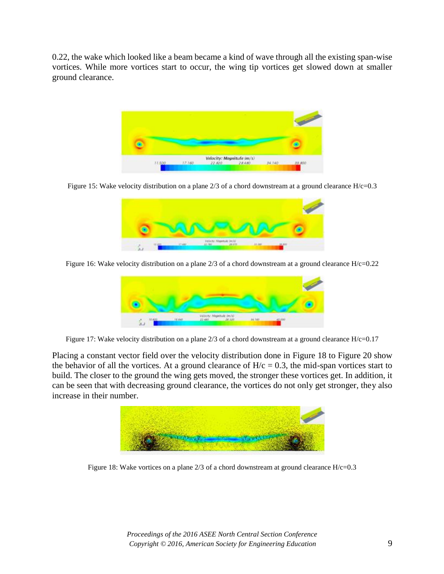0.22, the wake which looked like a beam became a kind of wave through all the existing span-wise vortices. While more vortices start to occur, the wing tip vortices get slowed down at smaller ground clearance.



Figure 15: Wake velocity distribution on a plane 2/3 of a chord downstream at a ground clearance H/c=0.3

<span id="page-8-0"></span>

Figure 16: Wake velocity distribution on a plane 2/3 of a chord downstream at a ground clearance H/c=0.22



Figure 17: Wake velocity distribution on a plane  $2/3$  of a chord downstream at a ground clearance  $H/c=0.17$ 

<span id="page-8-1"></span>Placing a constant vector field over the velocity distribution done in [Figure 18](#page-8-2) to [Figure 20](#page-9-0) show the behavior of all the vortices. At a ground clearance of  $H/c = 0.3$ , the mid-span vortices start to build. The closer to the ground the wing gets moved, the stronger these vortices get. In addition, it can be seen that with decreasing ground clearance, the vortices do not only get stronger, they also increase in their number.

<span id="page-8-2"></span>

Figure 18: Wake vortices on a plane 2/3 of a chord downstream at ground clearance H/c=0.3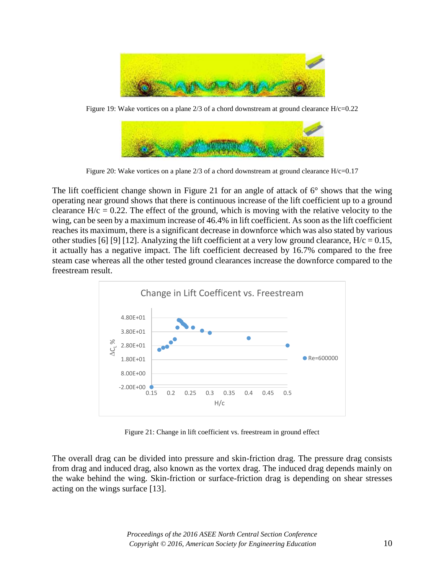

Figure 19: Wake vortices on a plane  $2/3$  of a chord downstream at ground clearance  $H/c=0.22$ 

| OF NORTH THAT THEY SEE |  |
|------------------------|--|

Figure 20: Wake vortices on a plane 2/3 of a chord downstream at ground clearance H/c=0.17

<span id="page-9-0"></span>The lift coefficient change shown in [Figure 21](#page-9-1) for an angle of attack of 6° shows that the wing operating near ground shows that there is continuous increase of the lift coefficient up to a ground clearance  $H/c = 0.22$ . The effect of the ground, which is moving with the relative velocity to the wing, can be seen by a maximum increase of 46.4% in lift coefficient. As soon as the lift coefficient reaches its maximum, there is a significant decrease in downforce which was also stated by various other studies [6] [9] [12]. Analyzing the lift coefficient at a very low ground clearance,  $H/c = 0.15$ , it actually has a negative impact. The lift coefficient decreased by 16.7% compared to the free steam case whereas all the other tested ground clearances increase the downforce compared to the freestream result.



Figure 21: Change in lift coefficient vs. freestream in ground effect

<span id="page-9-1"></span>The overall drag can be divided into pressure and skin-friction drag. The pressure drag consists from drag and induced drag, also known as the vortex drag. The induced drag depends mainly on the wake behind the wing. Skin-friction or surface-friction drag is depending on shear stresses acting on the wings surface [13].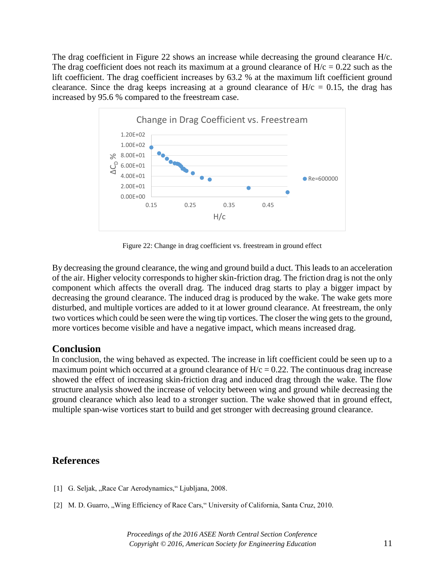The drag coefficient in [Figure 22](#page-10-0) shows an increase while decreasing the ground clearance H/c. The drag coefficient does not reach its maximum at a ground clearance of  $H/c = 0.22$  such as the lift coefficient. The drag coefficient increases by 63.2 % at the maximum lift coefficient ground clearance. Since the drag keeps increasing at a ground clearance of  $H/c = 0.15$ , the drag has increased by 95.6 % compared to the freestream case.



Figure 22: Change in drag coefficient vs. freestream in ground effect

<span id="page-10-0"></span>By decreasing the ground clearance, the wing and ground build a duct. This leads to an acceleration of the air. Higher velocity corresponds to higher skin-friction drag. The friction drag is not the only component which affects the overall drag. The induced drag starts to play a bigger impact by decreasing the ground clearance. The induced drag is produced by the wake. The wake gets more disturbed, and multiple vortices are added to it at lower ground clearance. At freestream, the only two vortices which could be seen were the wing tip vortices. The closer the wing gets to the ground, more vortices become visible and have a negative impact, which means increased drag.

#### **Conclusion**

In conclusion, the wing behaved as expected. The increase in lift coefficient could be seen up to a maximum point which occurred at a ground clearance of  $H/c = 0.22$ . The continuous drag increase showed the effect of increasing skin-friction drag and induced drag through the wake. The flow structure analysis showed the increase of velocity between wing and ground while decreasing the ground clearance which also lead to a stronger suction. The wake showed that in ground effect, multiple span-wise vortices start to build and get stronger with decreasing ground clearance.

### **References**

- [1] G. Seljak, "Race Car Aerodynamics," Ljubljana, 2008.
- [2] M. D. Guarro, "Wing Efficiency of Race Cars," University of California, Santa Cruz, 2010.